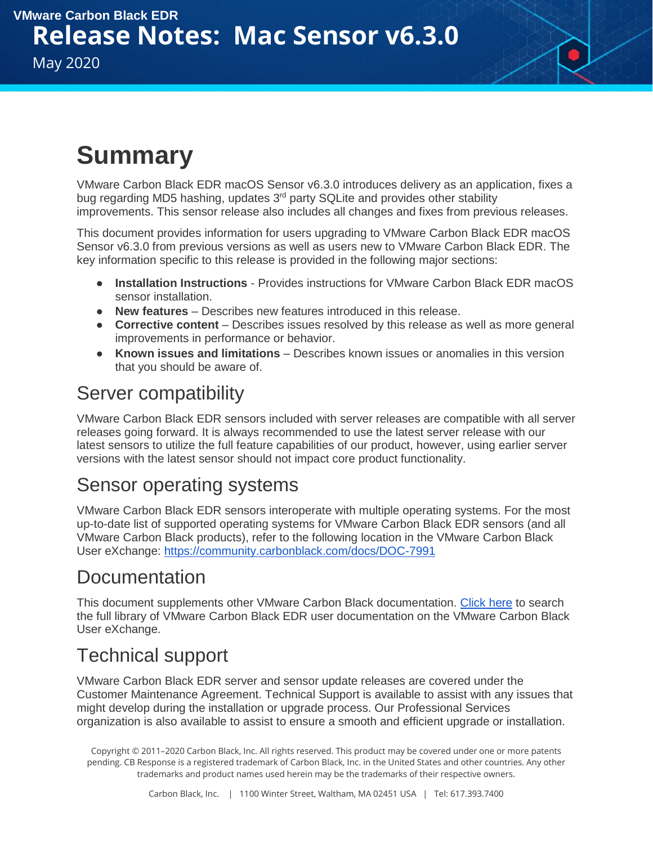# **Summary**

VMware Carbon Black EDR macOS Sensor v6.3.0 introduces delivery as an application, fixes a bug regarding MD5 hashing, updates 3<sup>rd</sup> party SQLite and provides other stability improvements. This sensor release also includes all changes and fixes from previous releases.

This document provides information for users upgrading to VMware Carbon Black EDR macOS Sensor v6.3.0 from previous versions as well as users new to VMware Carbon Black EDR. The key information specific to this release is provided in the following major sections:

- **Installation Instructions**  Provides instructions for VMware Carbon Black EDR macOS sensor installation.
- **New features** Describes new features introduced in this release.
- **Corrective content** Describes issues resolved by this release as well as more general improvements in performance or behavior.
- **Known issues and limitations** Describes known issues or anomalies in this version that you should be aware of.

#### Server compatibility

VMware Carbon Black EDR sensors included with server releases are compatible with all server releases going forward. It is always recommended to use the latest server release with our latest sensors to utilize the full feature capabilities of our product, however, using earlier server versions with the latest sensor should not impact core product functionality.

#### Sensor operating systems

VMware Carbon Black EDR sensors interoperate with multiple operating systems. For the most up-to-date list of supported operating systems for VMware Carbon Black EDR sensors (and all VMware Carbon Black products), refer to the following location in the VMware Carbon Black User eXchange:<https://community.carbonblack.com/docs/DOC-7991>

#### **Documentation**

This document supplements other VMware Carbon Black documentation. [Click here](https://community.carbonblack.com/community/resources/product-docs-and-news/content?filterID=contentstatus%5Bpublished%5D~tag%5Bcb+response%5D) to search the full library of VMware Carbon Black EDR user documentation on the VMware Carbon Black User eXchange.

### Technical support

VMware Carbon Black EDR server and sensor update releases are covered under the Customer Maintenance Agreement. Technical Support is available to assist with any issues that might develop during the installation or upgrade process. Our Professional Services organization is also available to assist to ensure a smooth and efficient upgrade or installation.

Copyright © 2011–2020 Carbon Black, Inc. All rights reserved. This product may be covered under one or more patents pending. CB Response is a registered trademark of Carbon Black, Inc. in the United States and other countries. Any other trademarks and product names used herein may be the trademarks of their respective owners.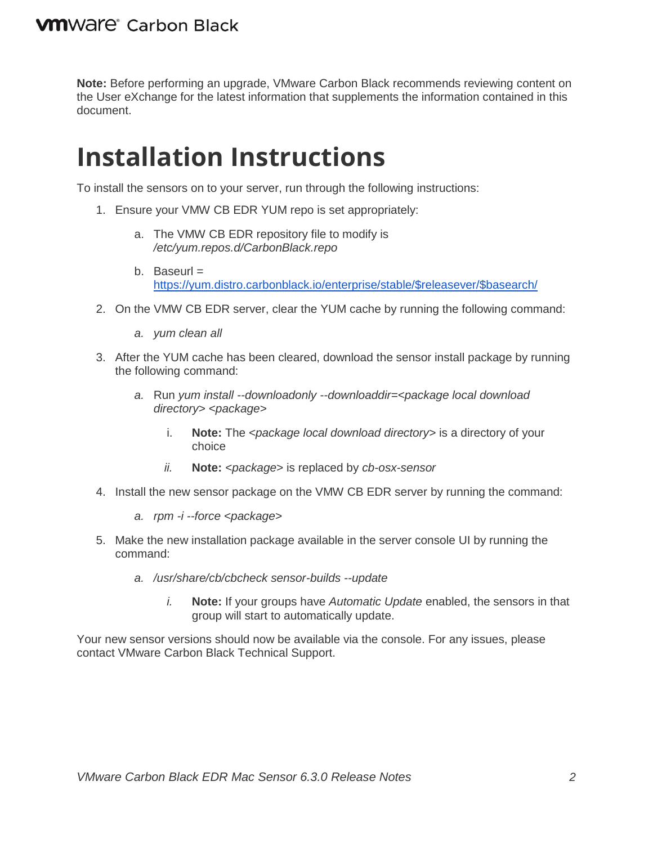**Note:** Before performing an upgrade, VMware Carbon Black recommends reviewing content on the User eXchange for the latest information that supplements the information contained in this document.

# **Installation Instructions**

To install the sensors on to your server, run through the following instructions:

- 1. Ensure your VMW CB EDR YUM repo is set appropriately:
	- a. The VMW CB EDR repository file to modify is */etc/yum.repos.d/CarbonBlack.repo*
	- b. Baseurl  $=$ [https://yum.distro.carbonblack.io/enterprise/stable/\\$releasever/\\$basearch/](https://yum.distro.carbonblack.io/enterprise/stable/$releasever/$basearch/)
- 2. On the VMW CB EDR server, clear the YUM cache by running the following command:
	- *a. yum clean all*
- 3. After the YUM cache has been cleared, download the sensor install package by running the following command:
	- *a.* Run *yum install --downloadonly --downloaddir=<package local download directory> <package>*
		- i. **Note:** The *<package local download directory>* is a directory of your choice
		- *ii.* **Note:** *<package>* is replaced by *cb-osx-sensor*
- 4. Install the new sensor package on the VMW CB EDR server by running the command:
	- *a. rpm -i --force <package>*
- 5. Make the new installation package available in the server console UI by running the command:
	- *a. /usr/share/cb/cbcheck sensor-builds --update*
		- *i.* **Note:** If your groups have *Automatic Update* enabled, the sensors in that group will start to automatically update.

Your new sensor versions should now be available via the console. For any issues, please contact VMware Carbon Black Technical Support.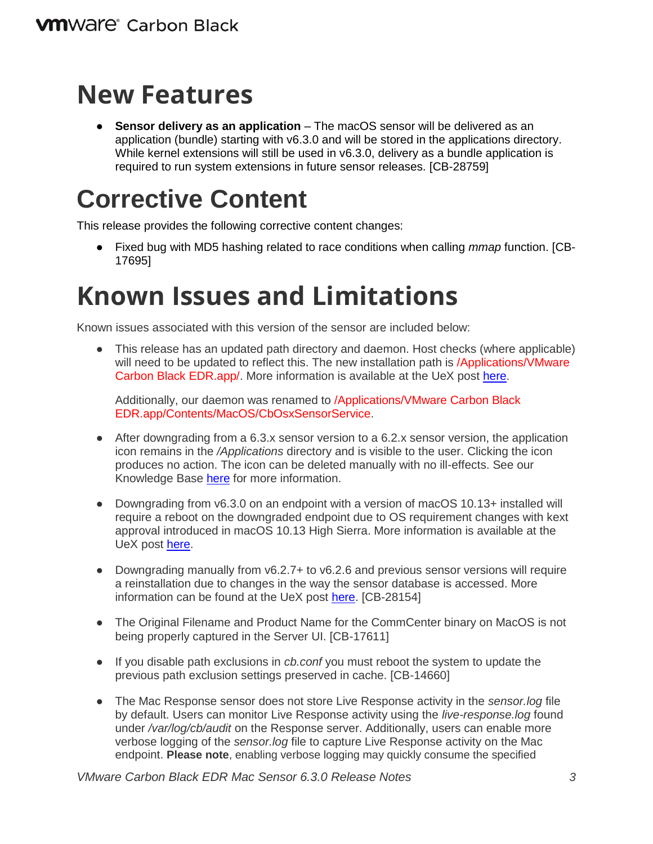## **New Features**

● **Sensor delivery as an application** – The macOS sensor will be delivered as an application (bundle) starting with v6.3.0 and will be stored in the applications directory. While kernel extensions will still be used in  $v6.3.0$ , delivery as a bundle application is required to run system extensions in future sensor releases. [CB-28759]

### **Corrective Content**

This release provides the following corrective content changes:

● Fixed bug with MD5 hashing related to race conditions when calling *mmap* function. [CB-17695]

# **Known Issues and Limitations**

Known issues associated with this version of the sensor are included below:

• This release has an updated path directory and daemon. Host checks (where applicable) will need to be updated to reflect this. The new installation path is /Applications/VMware Carbon Black EDR.app/. More information is available at the UeX post [here.](https://community.carbonblack.com/t5/Knowledge-Base/CB-Response-Which-Sensor-directories-need-exclusion-from-3rd/ta-p/62178)

Additionally, our daemon was renamed to /Applications/VMware Carbon Black EDR.app/Contents/MacOS/CbOsxSensorService.

- After downgrading from a 6.3.x sensor version to a 6.2.x sensor version, the application icon remains in the */Applications* directory and is visible to the user. Clicking the icon produces no action. The icon can be deleted manually with no ill-effects. See our Knowledge Base [here](https://community.carbonblack.com/t5/Knowledge-Base/CB-EDR-Mac-Sensor-Downgrade-Leaves-Icon-in-Applications/ta-p/89628) for more information.
- Downgrading from v6.3.0 on an endpoint with a version of macOS 10.13+ installed will require a reboot on the downgraded endpoint due to OS requirement changes with kext approval introduced in macOS 10.13 High Sierra. More information is available at the UeX post [here.](https://community.carbonblack.com/t5/Documentation-Downloads/macOS-10-13-4-Kext-Approval-Changes/ta-p/41490)
- Downgrading manually from  $\sqrt{6.2.7}$  to  $\sqrt{6.2.6}$  and previous sensor versions will require a reinstallation due to changes in the way the sensor database is accessed. More information can be found at the UeX post [here.](https://community.carbonblack.com/t5/CB-Response-Discussions/Mac-Response-Manually-Downgrading-from-6-2-7-osx-Sensor/m-p/84574#M4343) [CB-28154]
- The Original Filename and Product Name for the CommCenter binary on MacOS is not being properly captured in the Server UI. [CB-17611]
- If you disable path exclusions in *cb.conf* you must reboot the system to update the previous path exclusion settings preserved in cache. [CB-14660]
- The Mac Response sensor does not store Live Response activity in the *sensor.log* file by default. Users can monitor Live Response activity using the *live-response.log* found under */var/log/cb/audit* on the Response server. Additionally, users can enable more verbose logging of the *sensor.log* file to capture Live Response activity on the Mac endpoint. **Please note**, enabling verbose logging may quickly consume the specified

*VMware Carbon Black EDR Mac Sensor 6.3.0 Release Notes 3*